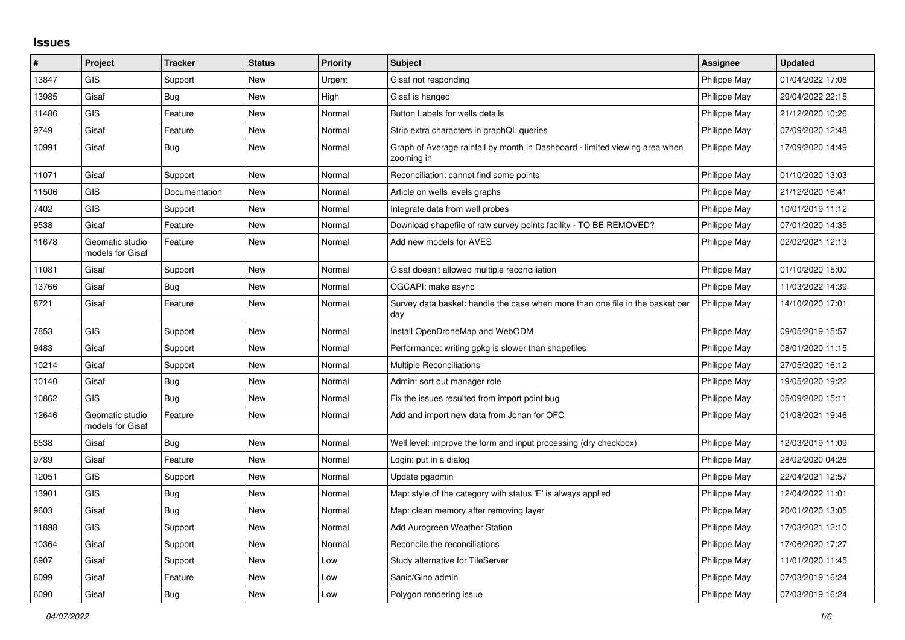## **Issues**

| ∦     | Project                             | <b>Tracker</b> | <b>Status</b> | <b>Priority</b> | <b>Subject</b>                                                                            | Assignee     | <b>Updated</b>   |
|-------|-------------------------------------|----------------|---------------|-----------------|-------------------------------------------------------------------------------------------|--------------|------------------|
| 13847 | <b>GIS</b>                          | Support        | New           | Urgent          | Gisaf not responding                                                                      | Philippe May | 01/04/2022 17:08 |
| 13985 | Gisaf                               | Bug            | New           | High            | Gisaf is hanged                                                                           | Philippe May | 29/04/2022 22:15 |
| 11486 | <b>GIS</b>                          | Feature        | New           | Normal          | Button Labels for wells details                                                           | Philippe May | 21/12/2020 10:26 |
| 9749  | Gisaf                               | Feature        | <b>New</b>    | Normal          | Strip extra characters in graphQL queries                                                 | Philippe May | 07/09/2020 12:48 |
| 10991 | Gisaf                               | <b>Bug</b>     | <b>New</b>    | Normal          | Graph of Average rainfall by month in Dashboard - limited viewing area when<br>zooming in | Philippe May | 17/09/2020 14:49 |
| 11071 | Gisaf                               | Support        | New           | Normal          | Reconciliation: cannot find some points                                                   | Philippe May | 01/10/2020 13:03 |
| 11506 | <b>GIS</b>                          | Documentation  | New           | Normal          | Article on wells levels graphs                                                            | Philippe May | 21/12/2020 16:41 |
| 7402  | <b>GIS</b>                          | Support        | New           | Normal          | Integrate data from well probes                                                           | Philippe May | 10/01/2019 11:12 |
| 9538  | Gisaf                               | Feature        | New           | Normal          | Download shapefile of raw survey points facility - TO BE REMOVED?                         | Philippe May | 07/01/2020 14:35 |
| 11678 | Geomatic studio<br>models for Gisaf | Feature        | <b>New</b>    | Normal          | Add new models for AVES                                                                   | Philippe May | 02/02/2021 12:13 |
| 11081 | Gisaf                               | Support        | New           | Normal          | Gisaf doesn't allowed multiple reconciliation                                             | Philippe May | 01/10/2020 15:00 |
| 13766 | Gisaf                               | Bug            | <b>New</b>    | Normal          | OGCAPI: make async                                                                        | Philippe May | 11/03/2022 14:39 |
| 8721  | Gisaf                               | Feature        | New           | Normal          | Survey data basket: handle the case when more than one file in the basket per<br>day      | Philippe May | 14/10/2020 17:01 |
| 7853  | GIS                                 | Support        | New           | Normal          | Install OpenDroneMap and WebODM                                                           | Philippe May | 09/05/2019 15:57 |
| 9483  | Gisaf                               | Support        | New           | Normal          | Performance: writing gpkg is slower than shapefiles                                       | Philippe May | 08/01/2020 11:15 |
| 10214 | Gisaf                               | Support        | New           | Normal          | Multiple Reconciliations                                                                  | Philippe May | 27/05/2020 16:12 |
| 10140 | Gisaf                               | <b>Bug</b>     | New           | Normal          | Admin: sort out manager role                                                              | Philippe May | 19/05/2020 19:22 |
| 10862 | <b>GIS</b>                          | <b>Bug</b>     | New           | Normal          | Fix the issues resulted from import point bug                                             | Philippe May | 05/09/2020 15:11 |
| 12646 | Geomatic studio<br>models for Gisaf | Feature        | <b>New</b>    | Normal          | Add and import new data from Johan for OFC                                                | Philippe May | 01/08/2021 19:46 |
| 6538  | Gisaf                               | Bug            | New           | Normal          | Well level: improve the form and input processing (dry checkbox)                          | Philippe May | 12/03/2019 11:09 |
| 9789  | Gisaf                               | Feature        | New           | Normal          | Login: put in a dialog                                                                    | Philippe May | 28/02/2020 04:28 |
| 12051 | GIS                                 | Support        | New           | Normal          | Update pgadmin                                                                            | Philippe May | 22/04/2021 12:57 |
| 13901 | <b>GIS</b>                          | Bug            | New           | Normal          | Map: style of the category with status 'E' is always applied                              | Philippe May | 12/04/2022 11:01 |
| 9603  | Gisaf                               | Bug            | <b>New</b>    | Normal          | Map: clean memory after removing layer                                                    | Philippe May | 20/01/2020 13:05 |
| 11898 | GIS                                 | Support        | New           | Normal          | Add Aurogreen Weather Station                                                             | Philippe May | 17/03/2021 12:10 |
| 10364 | Gisaf                               | Support        | New           | Normal          | Reconcile the reconciliations                                                             | Philippe May | 17/06/2020 17:27 |
| 6907  | Gisaf                               | Support        | New           | Low             | Study alternative for TileServer                                                          | Philippe May | 11/01/2020 11:45 |
| 6099  | Gisaf                               | Feature        | New           | Low             | Sanic/Gino admin                                                                          | Philippe May | 07/03/2019 16:24 |
| 6090  | Gisaf                               | Bug            | <b>New</b>    | Low             | Polygon rendering issue                                                                   | Philippe May | 07/03/2019 16:24 |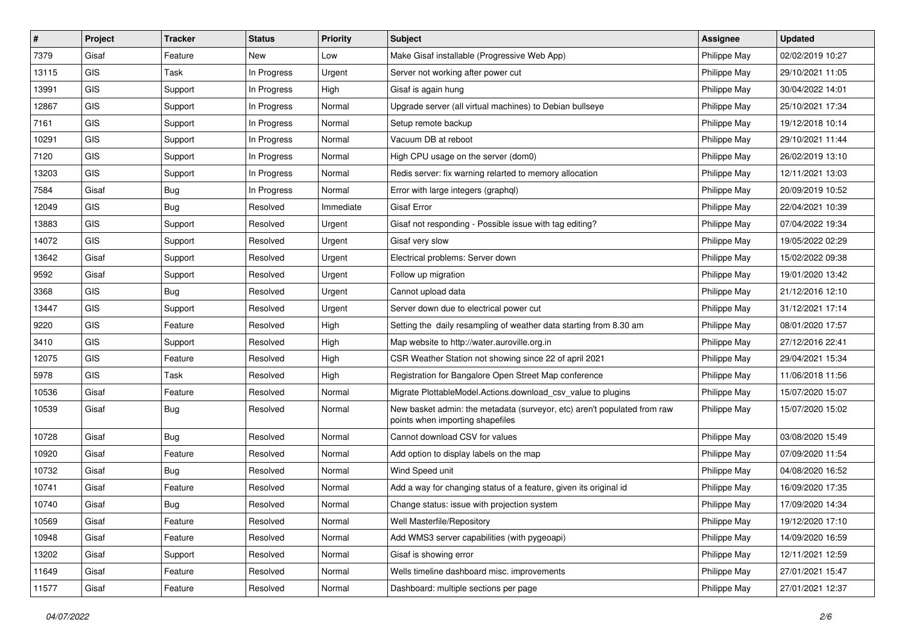| $\sharp$ | Project    | <b>Tracker</b> | <b>Status</b> | <b>Priority</b> | <b>Subject</b>                                                                                               | <b>Assignee</b> | <b>Updated</b>   |
|----------|------------|----------------|---------------|-----------------|--------------------------------------------------------------------------------------------------------------|-----------------|------------------|
| 7379     | Gisaf      | Feature        | New           | Low             | Make Gisaf installable (Progressive Web App)                                                                 | Philippe May    | 02/02/2019 10:27 |
| 13115    | GIS        | Task           | In Progress   | Urgent          | Server not working after power cut                                                                           | Philippe May    | 29/10/2021 11:05 |
| 13991    | GIS        | Support        | In Progress   | High            | Gisaf is again hung                                                                                          | Philippe May    | 30/04/2022 14:01 |
| 12867    | GIS        | Support        | In Progress   | Normal          | Upgrade server (all virtual machines) to Debian bullseye                                                     | Philippe May    | 25/10/2021 17:34 |
| 7161     | <b>GIS</b> | Support        | In Progress   | Normal          | Setup remote backup                                                                                          | Philippe May    | 19/12/2018 10:14 |
| 10291    | GIS        | Support        | In Progress   | Normal          | Vacuum DB at reboot                                                                                          | Philippe May    | 29/10/2021 11:44 |
| 7120     | GIS        | Support        | In Progress   | Normal          | High CPU usage on the server (dom0)                                                                          | Philippe May    | 26/02/2019 13:10 |
| 13203    | GIS        | Support        | In Progress   | Normal          | Redis server: fix warning relarted to memory allocation                                                      | Philippe May    | 12/11/2021 13:03 |
| 7584     | Gisaf      | Bug            | In Progress   | Normal          | Error with large integers (graphql)                                                                          | Philippe May    | 20/09/2019 10:52 |
| 12049    | GIS        | Bug            | Resolved      | Immediate       | <b>Gisaf Error</b>                                                                                           | Philippe May    | 22/04/2021 10:39 |
| 13883    | GIS        | Support        | Resolved      | Urgent          | Gisaf not responding - Possible issue with tag editing?                                                      | Philippe May    | 07/04/2022 19:34 |
| 14072    | GIS        | Support        | Resolved      | Urgent          | Gisaf very slow                                                                                              | Philippe May    | 19/05/2022 02:29 |
| 13642    | Gisaf      | Support        | Resolved      | Urgent          | Electrical problems: Server down                                                                             | Philippe May    | 15/02/2022 09:38 |
| 9592     | Gisaf      | Support        | Resolved      | Urgent          | Follow up migration                                                                                          | Philippe May    | 19/01/2020 13:42 |
| 3368     | <b>GIS</b> | Bug            | Resolved      | Urgent          | Cannot upload data                                                                                           | Philippe May    | 21/12/2016 12:10 |
| 13447    | GIS        | Support        | Resolved      | Urgent          | Server down due to electrical power cut                                                                      | Philippe May    | 31/12/2021 17:14 |
| 9220     | GIS        | Feature        | Resolved      | High            | Setting the daily resampling of weather data starting from 8.30 am                                           | Philippe May    | 08/01/2020 17:57 |
| 3410     | GIS        | Support        | Resolved      | High            | Map website to http://water.auroville.org.in                                                                 | Philippe May    | 27/12/2016 22:41 |
| 12075    | GIS        | Feature        | Resolved      | High            | CSR Weather Station not showing since 22 of april 2021                                                       | Philippe May    | 29/04/2021 15:34 |
| 5978     | GIS        | Task           | Resolved      | High            | Registration for Bangalore Open Street Map conference                                                        | Philippe May    | 11/06/2018 11:56 |
| 10536    | Gisaf      | Feature        | Resolved      | Normal          | Migrate PlottableModel.Actions.download csv value to plugins                                                 | Philippe May    | 15/07/2020 15:07 |
| 10539    | Gisaf      | Bug            | Resolved      | Normal          | New basket admin: the metadata (surveyor, etc) aren't populated from raw<br>points when importing shapefiles | Philippe May    | 15/07/2020 15:02 |
| 10728    | Gisaf      | <b>Bug</b>     | Resolved      | Normal          | Cannot download CSV for values                                                                               | Philippe May    | 03/08/2020 15:49 |
| 10920    | Gisaf      | Feature        | Resolved      | Normal          | Add option to display labels on the map                                                                      | Philippe May    | 07/09/2020 11:54 |
| 10732    | Gisaf      | Bug            | Resolved      | Normal          | Wind Speed unit                                                                                              | Philippe May    | 04/08/2020 16:52 |
| 10741    | Gisaf      | Feature        | Resolved      | Normal          | Add a way for changing status of a feature, given its original id                                            | Philippe May    | 16/09/2020 17:35 |
| 10740    | Gisaf      | Bug            | Resolved      | Normal          | Change status: issue with projection system                                                                  | Philippe May    | 17/09/2020 14:34 |
| 10569    | Gisaf      | Feature        | Resolved      | Normal          | Well Masterfile/Repository                                                                                   | Philippe May    | 19/12/2020 17:10 |
| 10948    | Gisaf      | Feature        | Resolved      | Normal          | Add WMS3 server capabilities (with pygeoapi)                                                                 | Philippe May    | 14/09/2020 16:59 |
| 13202    | Gisaf      | Support        | Resolved      | Normal          | Gisaf is showing error                                                                                       | Philippe May    | 12/11/2021 12:59 |
| 11649    | Gisaf      | Feature        | Resolved      | Normal          | Wells timeline dashboard misc. improvements                                                                  | Philippe May    | 27/01/2021 15:47 |
| 11577    | Gisaf      | Feature        | Resolved      | Normal          | Dashboard: multiple sections per page                                                                        | Philippe May    | 27/01/2021 12:37 |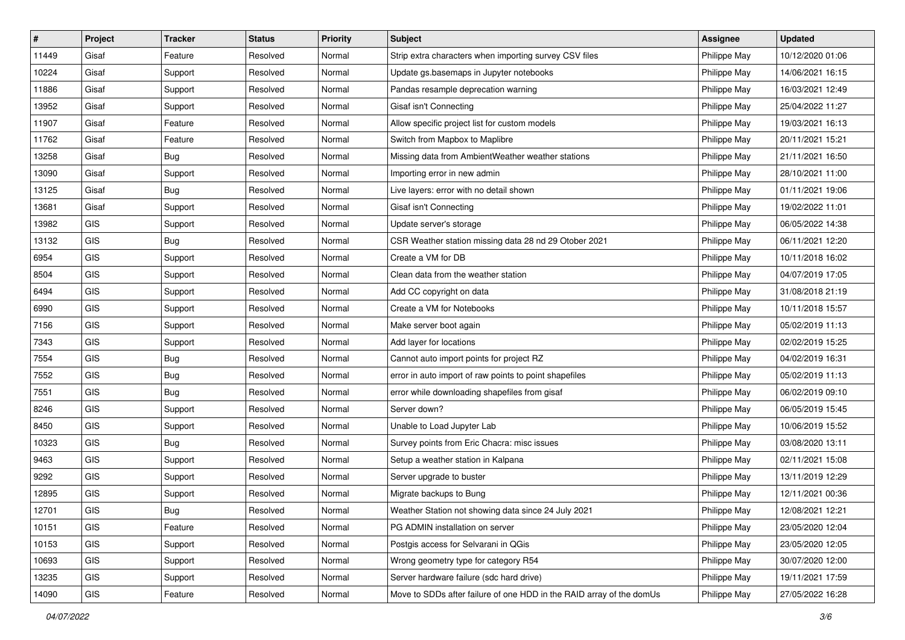| $\vert$ # | Project    | <b>Tracker</b> | <b>Status</b> | <b>Priority</b> | <b>Subject</b>                                                       | <b>Assignee</b> | <b>Updated</b>   |
|-----------|------------|----------------|---------------|-----------------|----------------------------------------------------------------------|-----------------|------------------|
| 11449     | Gisaf      | Feature        | Resolved      | Normal          | Strip extra characters when importing survey CSV files               | Philippe May    | 10/12/2020 01:06 |
| 10224     | Gisaf      | Support        | Resolved      | Normal          | Update gs.basemaps in Jupyter notebooks                              | Philippe May    | 14/06/2021 16:15 |
| 11886     | Gisaf      | Support        | Resolved      | Normal          | Pandas resample deprecation warning                                  | Philippe May    | 16/03/2021 12:49 |
| 13952     | Gisaf      | Support        | Resolved      | Normal          | Gisaf isn't Connecting                                               | Philippe May    | 25/04/2022 11:27 |
| 11907     | Gisaf      | Feature        | Resolved      | Normal          | Allow specific project list for custom models                        | Philippe May    | 19/03/2021 16:13 |
| 11762     | Gisaf      | Feature        | Resolved      | Normal          | Switch from Mapbox to Maplibre                                       | Philippe May    | 20/11/2021 15:21 |
| 13258     | Gisaf      | <b>Bug</b>     | Resolved      | Normal          | Missing data from AmbientWeather weather stations                    | Philippe May    | 21/11/2021 16:50 |
| 13090     | Gisaf      | Support        | Resolved      | Normal          | Importing error in new admin                                         | Philippe May    | 28/10/2021 11:00 |
| 13125     | Gisaf      | Bug            | Resolved      | Normal          | Live layers: error with no detail shown                              | Philippe May    | 01/11/2021 19:06 |
| 13681     | Gisaf      | Support        | Resolved      | Normal          | Gisaf isn't Connecting                                               | Philippe May    | 19/02/2022 11:01 |
| 13982     | GIS        | Support        | Resolved      | Normal          | Update server's storage                                              | Philippe May    | 06/05/2022 14:38 |
| 13132     | GIS        | <b>Bug</b>     | Resolved      | Normal          | CSR Weather station missing data 28 nd 29 Otober 2021                | Philippe May    | 06/11/2021 12:20 |
| 6954      | GIS        | Support        | Resolved      | Normal          | Create a VM for DB                                                   | Philippe May    | 10/11/2018 16:02 |
| 8504      | GIS        | Support        | Resolved      | Normal          | Clean data from the weather station                                  | Philippe May    | 04/07/2019 17:05 |
| 6494      | <b>GIS</b> | Support        | Resolved      | Normal          | Add CC copyright on data                                             | Philippe May    | 31/08/2018 21:19 |
| 6990      | GIS        | Support        | Resolved      | Normal          | Create a VM for Notebooks                                            | Philippe May    | 10/11/2018 15:57 |
| 7156      | GIS        | Support        | Resolved      | Normal          | Make server boot again                                               | Philippe May    | 05/02/2019 11:13 |
| 7343      | GIS        | Support        | Resolved      | Normal          | Add layer for locations                                              | Philippe May    | 02/02/2019 15:25 |
| 7554      | GIS        | <b>Bug</b>     | Resolved      | Normal          | Cannot auto import points for project RZ                             | Philippe May    | 04/02/2019 16:31 |
| 7552      | GIS        | <b>Bug</b>     | Resolved      | Normal          | error in auto import of raw points to point shapefiles               | Philippe May    | 05/02/2019 11:13 |
| 7551      | GIS        | Bug            | Resolved      | Normal          | error while downloading shapefiles from gisaf                        | Philippe May    | 06/02/2019 09:10 |
| 8246      | GIS        | Support        | Resolved      | Normal          | Server down?                                                         | Philippe May    | 06/05/2019 15:45 |
| 8450      | GIS        | Support        | Resolved      | Normal          | Unable to Load Jupyter Lab                                           | Philippe May    | 10/06/2019 15:52 |
| 10323     | GIS        | Bug            | Resolved      | Normal          | Survey points from Eric Chacra: misc issues                          | Philippe May    | 03/08/2020 13:11 |
| 9463      | GIS        | Support        | Resolved      | Normal          | Setup a weather station in Kalpana                                   | Philippe May    | 02/11/2021 15:08 |
| 9292      | GIS        | Support        | Resolved      | Normal          | Server upgrade to buster                                             | Philippe May    | 13/11/2019 12:29 |
| 12895     | GIS        | Support        | Resolved      | Normal          | Migrate backups to Bung                                              | Philippe May    | 12/11/2021 00:36 |
| 12701     | GIS        | Bug            | Resolved      | Normal          | Weather Station not showing data since 24 July 2021                  | Philippe May    | 12/08/2021 12:21 |
| 10151     | <b>GIS</b> | Feature        | Resolved      | Normal          | PG ADMIN installation on server                                      | Philippe May    | 23/05/2020 12:04 |
| 10153     | GIS        | Support        | Resolved      | Normal          | Postgis access for Selvarani in QGis                                 | Philippe May    | 23/05/2020 12:05 |
| 10693     | GIS        | Support        | Resolved      | Normal          | Wrong geometry type for category R54                                 | Philippe May    | 30/07/2020 12:00 |
| 13235     | GIS        | Support        | Resolved      | Normal          | Server hardware failure (sdc hard drive)                             | Philippe May    | 19/11/2021 17:59 |
| 14090     | GIS        | Feature        | Resolved      | Normal          | Move to SDDs after failure of one HDD in the RAID array of the domUs | Philippe May    | 27/05/2022 16:28 |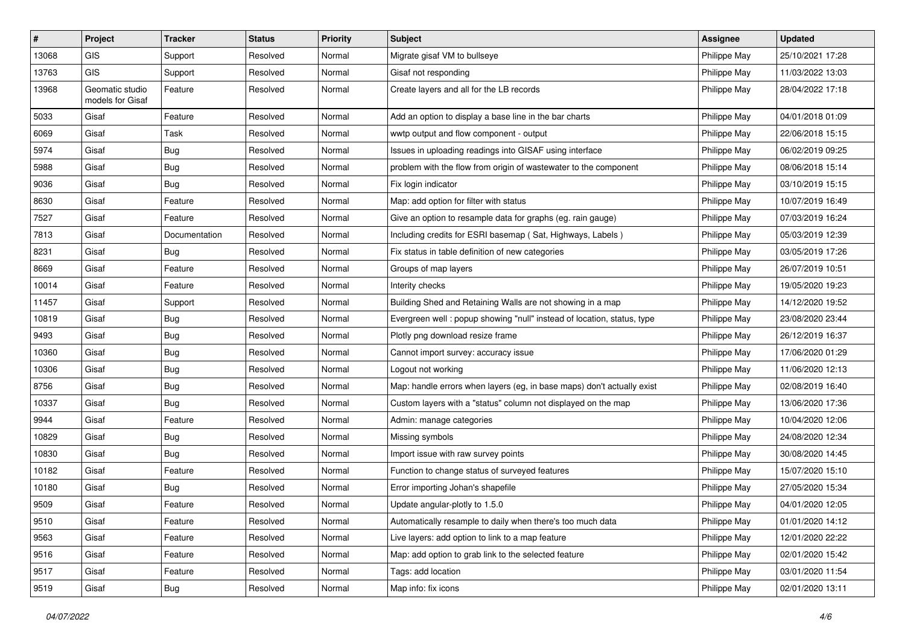| #     | Project                             | <b>Tracker</b> | <b>Status</b> | <b>Priority</b> | Subject                                                                | Assignee     | <b>Updated</b>   |
|-------|-------------------------------------|----------------|---------------|-----------------|------------------------------------------------------------------------|--------------|------------------|
| 13068 | GIS                                 | Support        | Resolved      | Normal          | Migrate gisaf VM to bullseye                                           | Philippe May | 25/10/2021 17:28 |
| 13763 | GIS                                 | Support        | Resolved      | Normal          | Gisaf not responding                                                   | Philippe May | 11/03/2022 13:03 |
| 13968 | Geomatic studio<br>models for Gisaf | Feature        | Resolved      | Normal          | Create layers and all for the LB records                               | Philippe May | 28/04/2022 17:18 |
| 5033  | Gisaf                               | Feature        | Resolved      | Normal          | Add an option to display a base line in the bar charts                 | Philippe May | 04/01/2018 01:09 |
| 6069  | Gisaf                               | Task           | Resolved      | Normal          | wwtp output and flow component - output                                | Philippe May | 22/06/2018 15:15 |
| 5974  | Gisaf                               | <b>Bug</b>     | Resolved      | Normal          | Issues in uploading readings into GISAF using interface                | Philippe May | 06/02/2019 09:25 |
| 5988  | Gisaf                               | <b>Bug</b>     | Resolved      | Normal          | problem with the flow from origin of wastewater to the component       | Philippe May | 08/06/2018 15:14 |
| 9036  | Gisaf                               | Bug            | Resolved      | Normal          | Fix login indicator                                                    | Philippe May | 03/10/2019 15:15 |
| 8630  | Gisaf                               | Feature        | Resolved      | Normal          | Map: add option for filter with status                                 | Philippe May | 10/07/2019 16:49 |
| 7527  | Gisaf                               | Feature        | Resolved      | Normal          | Give an option to resample data for graphs (eg. rain gauge)            | Philippe May | 07/03/2019 16:24 |
| 7813  | Gisaf                               | Documentation  | Resolved      | Normal          | Including credits for ESRI basemap (Sat, Highways, Labels)             | Philippe May | 05/03/2019 12:39 |
| 8231  | Gisaf                               | <b>Bug</b>     | Resolved      | Normal          | Fix status in table definition of new categories                       | Philippe May | 03/05/2019 17:26 |
| 8669  | Gisaf                               | Feature        | Resolved      | Normal          | Groups of map layers                                                   | Philippe May | 26/07/2019 10:51 |
| 10014 | Gisaf                               | Feature        | Resolved      | Normal          | Interity checks                                                        | Philippe May | 19/05/2020 19:23 |
| 11457 | Gisaf                               | Support        | Resolved      | Normal          | Building Shed and Retaining Walls are not showing in a map             | Philippe May | 14/12/2020 19:52 |
| 10819 | Gisaf                               | Bug            | Resolved      | Normal          | Evergreen well: popup showing "null" instead of location, status, type | Philippe May | 23/08/2020 23:44 |
| 9493  | Gisaf                               | <b>Bug</b>     | Resolved      | Normal          | Plotly png download resize frame                                       | Philippe May | 26/12/2019 16:37 |
| 10360 | Gisaf                               | <b>Bug</b>     | Resolved      | Normal          | Cannot import survey: accuracy issue                                   | Philippe May | 17/06/2020 01:29 |
| 10306 | Gisaf                               | Bug            | Resolved      | Normal          | Logout not working                                                     | Philippe May | 11/06/2020 12:13 |
| 8756  | Gisaf                               | Bug            | Resolved      | Normal          | Map: handle errors when layers (eg, in base maps) don't actually exist | Philippe May | 02/08/2019 16:40 |
| 10337 | Gisaf                               | <b>Bug</b>     | Resolved      | Normal          | Custom layers with a "status" column not displayed on the map          | Philippe May | 13/06/2020 17:36 |
| 9944  | Gisaf                               | Feature        | Resolved      | Normal          | Admin: manage categories                                               | Philippe May | 10/04/2020 12:06 |
| 10829 | Gisaf                               | <b>Bug</b>     | Resolved      | Normal          | Missing symbols                                                        | Philippe May | 24/08/2020 12:34 |
| 10830 | Gisaf                               | <b>Bug</b>     | Resolved      | Normal          | Import issue with raw survey points                                    | Philippe May | 30/08/2020 14:45 |
| 10182 | Gisaf                               | Feature        | Resolved      | Normal          | Function to change status of surveyed features                         | Philippe May | 15/07/2020 15:10 |
| 10180 | Gisaf                               | <b>Bug</b>     | Resolved      | Normal          | Error importing Johan's shapefile                                      | Philippe May | 27/05/2020 15:34 |
| 9509  | Gisaf                               | Feature        | Resolved      | Normal          | Update angular-plotly to 1.5.0                                         | Philippe May | 04/01/2020 12:05 |
| 9510  | Gisaf                               | Feature        | Resolved      | Normal          | Automatically resample to daily when there's too much data             | Philippe May | 01/01/2020 14:12 |
| 9563  | Gisaf                               | Feature        | Resolved      | Normal          | Live layers: add option to link to a map feature                       | Philippe May | 12/01/2020 22:22 |
| 9516  | Gisaf                               | Feature        | Resolved      | Normal          | Map: add option to grab link to the selected feature                   | Philippe May | 02/01/2020 15:42 |
| 9517  | Gisaf                               | Feature        | Resolved      | Normal          | Tags: add location                                                     | Philippe May | 03/01/2020 11:54 |
| 9519  | Gisaf                               | <b>Bug</b>     | Resolved      | Normal          | Map info: fix icons                                                    | Philippe May | 02/01/2020 13:11 |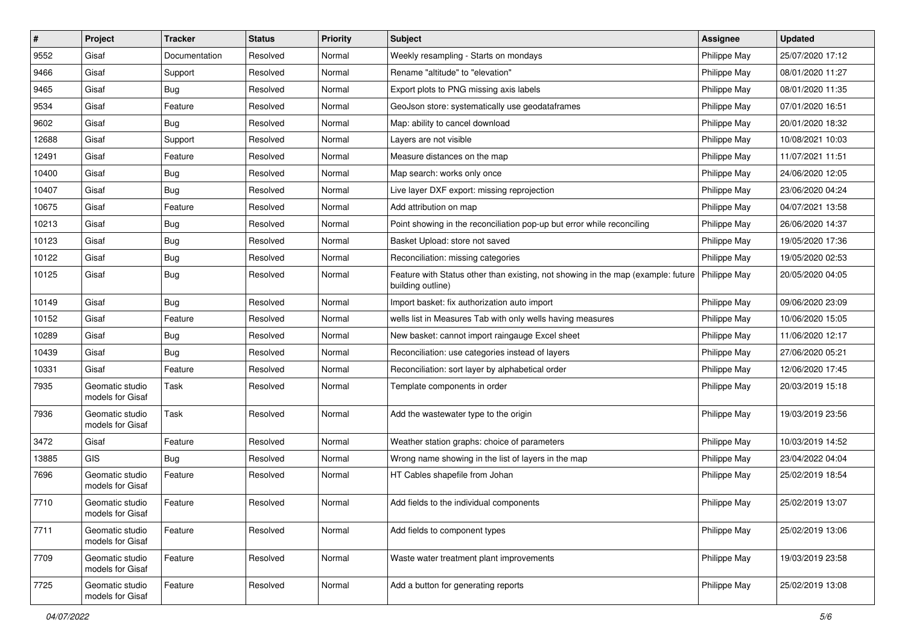| $\sharp$ | Project                             | <b>Tracker</b> | <b>Status</b> | Priority | Subject                                                                                               | <b>Assignee</b> | <b>Updated</b>   |
|----------|-------------------------------------|----------------|---------------|----------|-------------------------------------------------------------------------------------------------------|-----------------|------------------|
| 9552     | Gisaf                               | Documentation  | Resolved      | Normal   | Weekly resampling - Starts on mondays                                                                 | Philippe May    | 25/07/2020 17:12 |
| 9466     | Gisaf                               | Support        | Resolved      | Normal   | Rename "altitude" to "elevation"                                                                      | Philippe May    | 08/01/2020 11:27 |
| 9465     | Gisaf                               | Bug            | Resolved      | Normal   | Export plots to PNG missing axis labels                                                               | Philippe May    | 08/01/2020 11:35 |
| 9534     | Gisaf                               | Feature        | Resolved      | Normal   | GeoJson store: systematically use geodataframes                                                       | Philippe May    | 07/01/2020 16:51 |
| 9602     | Gisaf                               | Bug            | Resolved      | Normal   | Map: ability to cancel download                                                                       | Philippe May    | 20/01/2020 18:32 |
| 12688    | Gisaf                               | Support        | Resolved      | Normal   | Layers are not visible                                                                                | Philippe May    | 10/08/2021 10:03 |
| 12491    | Gisaf                               | Feature        | Resolved      | Normal   | Measure distances on the map                                                                          | Philippe May    | 11/07/2021 11:51 |
| 10400    | Gisaf                               | <b>Bug</b>     | Resolved      | Normal   | Map search: works only once                                                                           | Philippe May    | 24/06/2020 12:05 |
| 10407    | Gisaf                               | <b>Bug</b>     | Resolved      | Normal   | Live layer DXF export: missing reprojection                                                           | Philippe May    | 23/06/2020 04:24 |
| 10675    | Gisaf                               | Feature        | Resolved      | Normal   | Add attribution on map                                                                                | Philippe May    | 04/07/2021 13:58 |
| 10213    | Gisaf                               | <b>Bug</b>     | Resolved      | Normal   | Point showing in the reconciliation pop-up but error while reconciling                                | Philippe May    | 26/06/2020 14:37 |
| 10123    | Gisaf                               | <b>Bug</b>     | Resolved      | Normal   | Basket Upload: store not saved                                                                        | Philippe May    | 19/05/2020 17:36 |
| 10122    | Gisaf                               | Bug            | Resolved      | Normal   | Reconciliation: missing categories                                                                    | Philippe May    | 19/05/2020 02:53 |
| 10125    | Gisaf                               | <b>Bug</b>     | Resolved      | Normal   | Feature with Status other than existing, not showing in the map (example: future<br>building outline) | Philippe May    | 20/05/2020 04:05 |
| 10149    | Gisaf                               | Bug            | Resolved      | Normal   | Import basket: fix authorization auto import                                                          | Philippe May    | 09/06/2020 23:09 |
| 10152    | Gisaf                               | Feature        | Resolved      | Normal   | wells list in Measures Tab with only wells having measures                                            | Philippe May    | 10/06/2020 15:05 |
| 10289    | Gisaf                               | Bug            | Resolved      | Normal   | New basket: cannot import raingauge Excel sheet                                                       | Philippe May    | 11/06/2020 12:17 |
| 10439    | Gisaf                               | <b>Bug</b>     | Resolved      | Normal   | Reconciliation: use categories instead of layers                                                      | Philippe May    | 27/06/2020 05:21 |
| 10331    | Gisaf                               | Feature        | Resolved      | Normal   | Reconciliation: sort layer by alphabetical order                                                      | Philippe May    | 12/06/2020 17:45 |
| 7935     | Geomatic studio<br>models for Gisaf | Task           | Resolved      | Normal   | Template components in order                                                                          | Philippe May    | 20/03/2019 15:18 |
| 7936     | Geomatic studio<br>models for Gisaf | Task           | Resolved      | Normal   | Add the wastewater type to the origin                                                                 | Philippe May    | 19/03/2019 23:56 |
| 3472     | Gisaf                               | Feature        | Resolved      | Normal   | Weather station graphs: choice of parameters                                                          | Philippe May    | 10/03/2019 14:52 |
| 13885    | <b>GIS</b>                          | Bug            | Resolved      | Normal   | Wrong name showing in the list of layers in the map                                                   | Philippe May    | 23/04/2022 04:04 |
| 7696     | Geomatic studio<br>models for Gisaf | Feature        | Resolved      | Normal   | HT Cables shapefile from Johan                                                                        | Philippe May    | 25/02/2019 18:54 |
| 7710     | Geomatic studio<br>models for Gisaf | Feature        | Resolved      | Normal   | Add fields to the individual components                                                               | Philippe May    | 25/02/2019 13:07 |
| 7711     | Geomatic studio<br>models for Gisaf | Feature        | Resolved      | Normal   | Add fields to component types                                                                         | Philippe May    | 25/02/2019 13:06 |
| 7709     | Geomatic studio<br>models for Gisaf | Feature        | Resolved      | Normal   | Waste water treatment plant improvements                                                              | Philippe May    | 19/03/2019 23:58 |
| 7725     | Geomatic studio<br>models for Gisaf | Feature        | Resolved      | Normal   | Add a button for generating reports                                                                   | Philippe May    | 25/02/2019 13:08 |